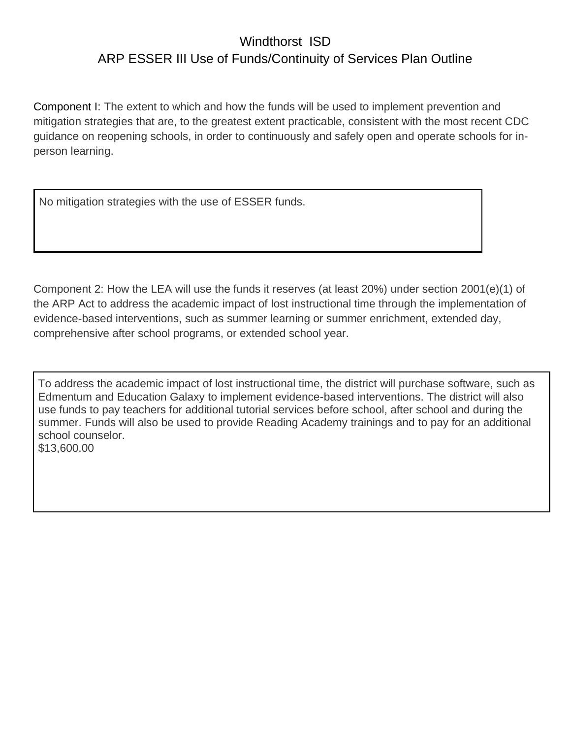## Windthorst ISD ARP ESSER III Use of Funds/Continuity of Services Plan Outline

Component I: The extent to which and how the funds will be used to implement prevention and mitigation strategies that are, to the greatest extent practicable, consistent with the most recent CDC guidance on reopening schools, in order to continuously and safely open and operate schools for inperson learning.

No mitigation strategies with the use of ESSER funds.

Component 2: How the LEA will use the funds it reserves (at least 20%) under section 2001(e)(1) of the ARP Act to address the academic impact of lost instructional time through the implementation of evidence-based interventions, such as summer learning or summer enrichment, extended day, comprehensive after school programs, or extended school year.

To address the academic impact of lost instructional time, the district will purchase software, such as Edmentum and Education Galaxy to implement evidence-based interventions. The district will also use funds to pay teachers for additional tutorial services before school, after school and during the summer. Funds will also be used to provide Reading Academy trainings and to pay for an additional school counselor. \$13,600.00